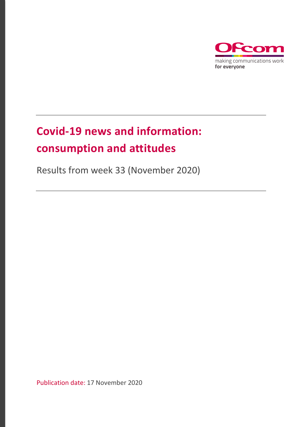

# **Covid-19 news and information: consumption and attitudes**

Results from week 33 (November 2020)

Publication date: 17 November 2020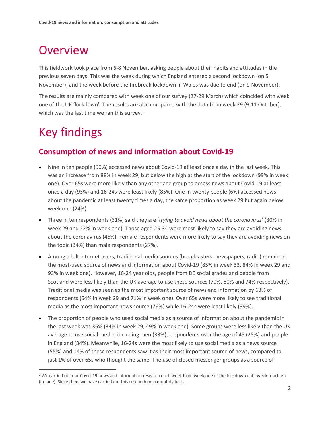## **Overview**

This fieldwork took place from 6-8 November, asking people about their habits and attitudes in the previous seven days. This was the week during which England entered a second lockdown (on 5 November), and the week before the firebreak lockdown in Wales was due to end (on 9 November).

The results are mainly compared with week one of our survey (27-29 March) which coincided with week one of the UK 'lockdown'. The results are also compared with the data from week 29 (9-11 October), which was the last time we ran this survey.<sup>[1](#page-1-0)</sup>

## Key findings

### **Consumption of news and information about Covid-19**

- Nine in ten people (90%) accessed news about Covid-19 at least once a day in the last week. This was an increase from 88% in week 29, but below the high at the start of the lockdown (99% in week one). Over 65s were more likely than any other age group to access news about Covid-19 at least once a day (95%) and 16-24s were least likely (85%). One in twenty people (6%) accessed news about the pandemic at least twenty times a day, the same proportion as week 29 but again below week one (24%).
- Three in ten respondents (31%) said they are '*trying to avoid news about the coronavirus*' (30% in week 29 and 22% in week one). Those aged 25-34 were most likely to say they are avoiding news about the coronavirus (46%). Female respondents were more likely to say they are avoiding news on the topic (34%) than male respondents (27%).
- Among adult internet users, traditional media sources (broadcasters, newspapers, radio) remained the most-used source of news and information about Covid-19 (85% in week 33, 84% in week 29 and 93% in week one). However, 16-24 year olds, people from DE social grades and people from Scotland were less likely than the UK average to use these sources (70%, 80% and 74% respectively). Traditional media was seen as the most important source of news and information by 63% of respondents (64% in week 29 and 71% in week one). Over 65s were more likely to see traditional media as the most important news source (76%) while 16-24s were least likely (39%).
- The proportion of people who used social media as a source of information about the pandemic in the last week was 36% (34% in week 29, 49% in week one). Some groups were less likely than the UK average to use social media, including men (33%); respondents over the age of 45 (25%) and people in England (34%). Meanwhile, 16-24s were the most likely to use social media as a news source (55%) and 14% of these respondents saw it as their most important source of news, compared to just 1% of over 65s who thought the same. The use of closed messenger groups as a source of

<span id="page-1-0"></span> $1$  We carried out our Covid-19 news and information research each week from week one of the lockdown until week fourteen (in June). Since then, we have carried out this research on a monthly basis.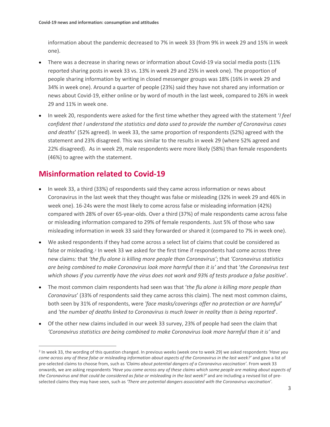information about the pandemic decreased to 7% in week 33 (from 9% in week 29 and 15% in week one).

- There was a decrease in sharing news or information about Covid-19 via social media posts (11% reported sharing posts in week 33 vs. 13% in week 29 and 25% in week one). The proportion of people sharing information by writing in closed messenger groups was 18% (16% in week 29 and 34% in week one). Around a quarter of people (23%) said they have not shared any information or news about Covid-19, either online or by word of mouth in the last week, compared to 26% in week 29 and 11% in week one.
- In week 20, respondents were asked for the first time whether they agreed with the statement '*I feel confident that I understand the statistics and data used to provide the number of Coronavirus cases and deaths*' (52% agreed). In week 33, the same proportion of respondents (52%) agreed with the statement and 23% disagreed. This was similar to the results in week 29 (where 52% agreed and 22% disagreed). As in week 29, male respondents were more likely (58%) than female respondents (46%) to agree with the statement.

#### **Misinformation related to Covid-19**

- In week 33, a third (33%) of respondents said they came across information or news about Coronavirus in the last week that they thought was false or misleading (32% in week 29 and 46% in week one). 16-24s were the most likely to come across false or misleading information (42%) compared with 28% of over 65-year-olds. Over a third (37%) of male respondents came across false or misleading information compared to 29% of female respondents. Just 5% of those who saw misleading information in week 33 said they forwarded or shared it (compared to 7% in week one).
- We asked respondents if they had come across a select list of claims that could be considered as false or misleading.<sup>[2](#page-2-0)</sup> In week 33 we asked for the first time if respondents had come across three new claims: that *'the flu alone is killing more people than Coronavirus'*; that *'Coronavirus statistics are being combined to make Coronavirus look more harmful than it is'* and that '*the Coronavirus test which shows if you currently have the virus does not work and 93% of tests produce a false positive*'.
- The most common claim respondents had seen was that '*the flu alone is killing more people than Coronavirus*' (33% of respondents said they came across this claim). The next most common claims, both seen by 31% of respondents, were *'face masks/coverings offer no protection or are harmful'* and *'the number of deaths linked to Coronavirus is much lower in reality than is being reported*'.
- Of the other new claims included in our week 33 survey, 23% of people had seen the claim that *'Coronavirus statistics are being combined to make Coronavirus look more harmful than it is'* and

<span id="page-2-0"></span><sup>2</sup> In week 33, the wording of this question changed. In previous weeks (week one to week 29) we asked respondents *'Have you come across any of these false or misleading information about aspects of the Coronavirus in the last week?'* and gave a list of pre-selected claims to choose from, such as *'Claims about potential dangers of a Coronavirus vaccination'*. From week 33 onwards, we are asking respondents *'Have you come across any of these claims which some people are making about aspects of the Coronavirus and that could be considered as false or misleading in the last week?'* and are including a revised list of preselected claims they may have seen, such as *'There are potential dangers associated with the Coronavirus vaccination'*.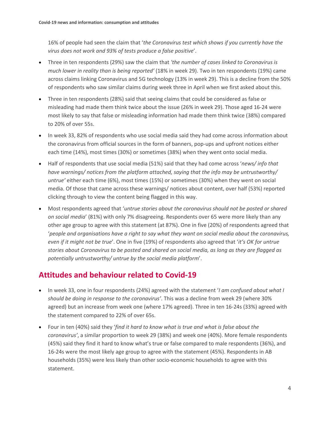16% of people had seen the claim that '*the Coronavirus test which shows if you currently have the virus does not work and 93% of tests produce a false positive*'.

- Three in ten respondents (29%) saw the claim that *'the number of cases linked to Coronavirus is much lower in reality than is being reported'* (18% in week 29). Two in ten respondents (19%) came across claims linking Coronavirus and 5G technology (13% in week 29). This is a decline from the 50% of respondents who saw similar claims during week three in April when we first asked about this.
- Three in ten respondents (28%) said that seeing claims that could be considered as false or misleading had made them think twice about the issue (26% in week 29). Those aged 16-24 were most likely to say that false or misleading information had made them think twice (38%) compared to 20% of over 55s.
- In week 33, 82% of respondents who use social media said they had come across information about the coronavirus from official sources in the form of banners, pop-ups and upfront notices either each time (14%), most times (30%) or sometimes (38%) when they went onto social media.
- Half of respondents that use social media (51%) said that they had come across '*news/ info that have warnings/ notices from the platform attached, saying that the info may be untrustworthy/ untrue'* either each time (6%), most times (15%) or sometimes (30%) when they went on social media. Of those that came across these warnings/ notices about content, over half (53%) reported clicking through to view the content being flagged in this way.
- Most respondents agreed that '*untrue stories about the coronavirus should not be posted or shared on social media*' (81%) with only 7% disagreeing. Respondents over 65 were more likely than any other age group to agree with this statement (at 87%). One in five (20%) of respondents agreed that '*people and organisations have a right to say what they want on social media about the coronavirus, even if it might not be true*'. One in five (19%) of respondents also agreed that '*it's OK for untrue stories about Coronavirus to be posted and shared on social media, as long as they are flagged as potentially untrustworthy/ untrue by the social media platform*'.

### **Attitudes and behaviour related to Covid-19**

- In week 33, one in four respondents (24%) agreed with the statement '*I am confused about what I should be doing in response to the coronavirus'*. This was a decline from week 29 (where 30% agreed) but an increase from week one (where 17% agreed). Three in ten 16-24s (33%) agreed with the statement compared to 22% of over 65s.
- Four in ten (40%) said they '*find it hard to know what is true and what is false about the coronavirus'*, a similar proportion to week 29 (38%) and week one (40%). More female respondents (45%) said they find it hard to know what's true or false compared to male respondents (36%), and 16-24s were the most likely age group to agree with the statement (45%). Respondents in AB households (35%) were less likely than other socio-economic households to agree with this statement.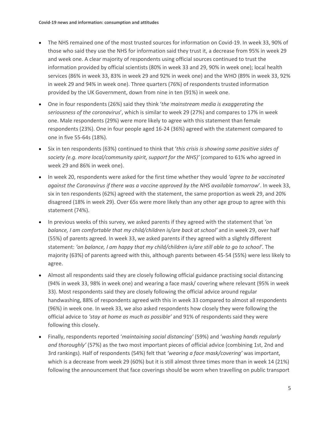- The NHS remained one of the most trusted sources for information on Covid-19. In week 33, 90% of those who said they use the NHS for information said they trust it, a decrease from 95% in week 29 and week one. A clear majority of respondents using official sources continued to trust the information provided by official scientists (80% in week 33 and 29, 90% in week one); local health services (86% in week 33, 83% in week 29 and 92% in week one) and the WHO (89% in week 33, 92% in week 29 and 94% in week one). Three quarters (76%) of respondents trusted information provided by the UK Government, down from nine in ten (91%) in week one.
- One in four respondents (26%) said they think '*the mainstream media is exaggerating the seriousness of the coronavirus*', which is similar to week 29 (27%) and compares to 17% in week one. Male respondents (29%) were more likely to agree with this statement than female respondents (23%). One in four people aged 16-24 (36%) agreed with the statement compared to one in five 55-64s (18%).
- Six in ten respondents (63%) continued to think that '*this crisis is showing some positive sides of society (e.g. more local/community spirit, support for the NHS)'* (compared to 61% who agreed in week 29 and 86% in week one).
- In week 20, respondents were asked for the first time whether they would *'agree to be vaccinated against the Coronavirus if there was a vaccine approved by the NHS available tomorrow*'. In week 33, six in ten respondents (62%) agreed with the statement, the same proportion as week 29, and 20% disagreed (18% in week 29). Over 65s were more likely than any other age group to agree with this statement (74%).
- In previous weeks of this survey, we asked parents if they agreed with the statement that *'on balance, I am comfortable that my child/children is/are back at school'* and in week 29, over half (55%) of parents agreed. In week 33, we asked parents if they agreed with a slightly different statement: *'on balance, I am happy that my child/children is/are still able to go to school'.* The majority (63%) of parents agreed with this, although parents between 45-54 (55%) were less likely to agree.
- Almost all respondents said they are closely following official guidance practising social distancing (94% in week 33, 98% in week one) and wearing a face mask/ covering where relevant (95% in week 33). Most respondents said they are closely following the official advice around regular handwashing, 88% of respondents agreed with this in week 33 compared to almost all respondents (96%) in week one. In week 33, we also asked respondents how closely they were following the official advice to *'stay at home as much as possible'* and 91% of respondents said they were following this closely.
- Finally, respondents reported '*maintaining social distancing'* (59%) and '*washing hands regularly and thoroughly'* (57%) as the two most important pieces of official advice (combining 1st, 2nd and 3rd rankings). Half of respondents (54%) felt that *'wearing a face mask/covering'* was important, which is a decrease from week 29 (60%) but it is still almost three times more than in week 14 (21%) following the announcement that face coverings should be worn when travelling on public transport